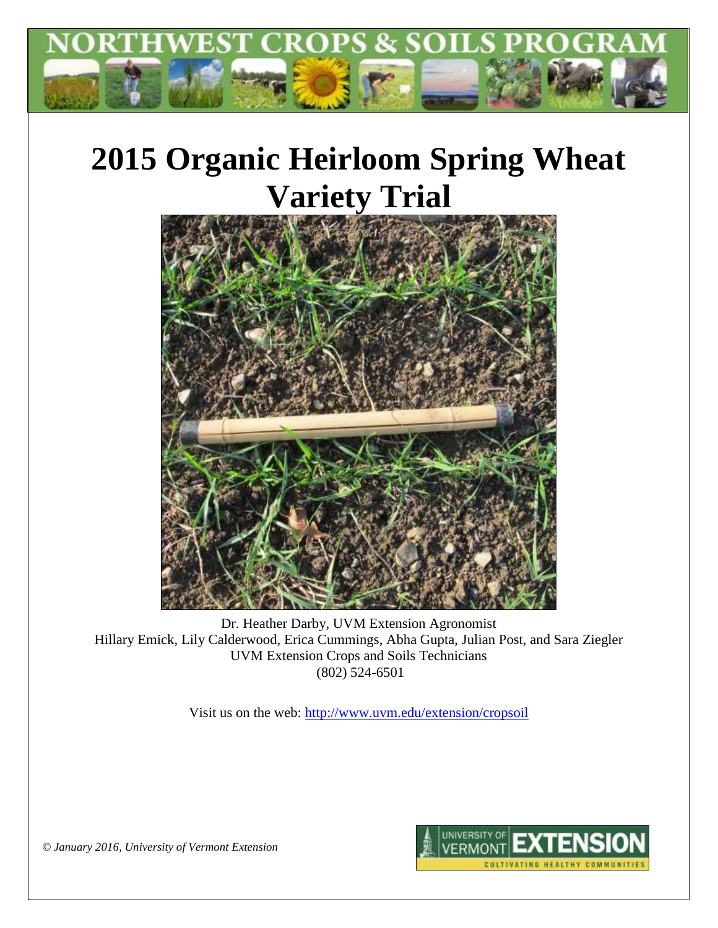

# **2015 Organic Heirloom Spring Wheat Variety Trial**



Dr. Heather Darby, UVM Extension Agronomist Hillary Emick, Lily Calderwood, Erica Cummings, Abha Gupta, Julian Post, and Sara Ziegler UVM Extension Crops and Soils Technicians (802) 524-6501

Visit us on the web:<http://www.uvm.edu/extension/cropsoil>



*© January 2016, University of Vermont Extension*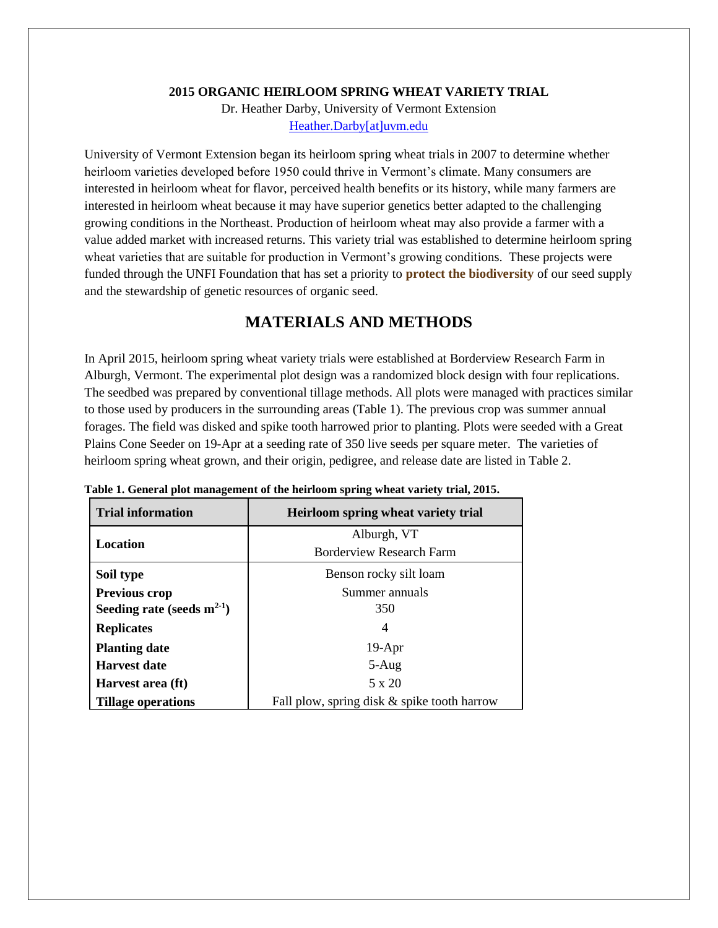#### **2015 ORGANIC HEIRLOOM SPRING WHEAT VARIETY TRIAL**

Dr. Heather Darby, University of Vermont Extension [Heather.Darby\[at\]uvm.edu](mailto:Heather.Darby@uvm.edu)

University of Vermont Extension began its heirloom spring wheat trials in 2007 to determine whether heirloom varieties developed before 1950 could thrive in Vermont's climate. Many consumers are interested in heirloom wheat for flavor, perceived health benefits or its history, while many farmers are interested in heirloom wheat because it may have superior genetics better adapted to the challenging growing conditions in the Northeast. Production of heirloom wheat may also provide a farmer with a value added market with increased returns. This variety trial was established to determine heirloom spring wheat varieties that are suitable for production in Vermont's growing conditions. These projects were funded through the UNFI Foundation that has set a priority to **protect the biodiversity** of our seed supply and the stewardship of genetic resources of organic seed.

## **MATERIALS AND METHODS**

In April 2015, heirloom spring wheat variety trials were established at Borderview Research Farm in Alburgh, Vermont. The experimental plot design was a randomized block design with four replications. The seedbed was prepared by conventional tillage methods. All plots were managed with practices similar to those used by producers in the surrounding areas (Table 1). The previous crop was summer annual forages. The field was disked and spike tooth harrowed prior to planting. Plots were seeded with a Great Plains Cone Seeder on 19-Apr at a seeding rate of 350 live seeds per square meter. The varieties of heirloom spring wheat grown, and their origin, pedigree, and release date are listed in Table 2.

| <b>Trial information</b>        | Heirloom spring wheat variety trial         |  |  |
|---------------------------------|---------------------------------------------|--|--|
|                                 | Alburgh, VT                                 |  |  |
| Location                        | Borderview Research Farm                    |  |  |
| Soil type                       | Benson rocky silt loam                      |  |  |
| <b>Previous crop</b>            | Summer annuals                              |  |  |
| Seeding rate (seeds $m^{2-1}$ ) | 350                                         |  |  |
| <b>Replicates</b>               | 4                                           |  |  |
| <b>Planting date</b>            | $19-Apr$                                    |  |  |
| <b>Harvest date</b>             | $5-Aug$                                     |  |  |
| Harvest area (ft)               | 5 x 20                                      |  |  |
| Tillage operations              | Fall plow, spring disk & spike tooth harrow |  |  |

**Table 1. General plot management of the heirloom spring wheat variety trial, 2015.**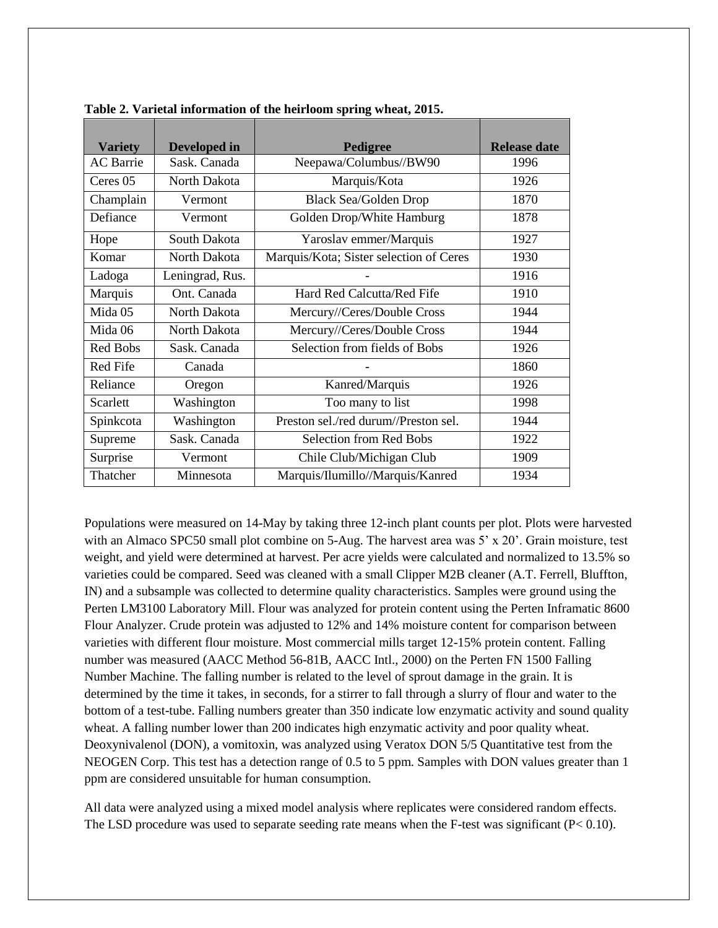| <b>Variety</b>   | Developed in    | Pedigree                                | <b>Release date</b> |
|------------------|-----------------|-----------------------------------------|---------------------|
| <b>AC</b> Barrie | Sask. Canada    | Neepawa/Columbus//BW90                  | 1996                |
| Ceres 05         | North Dakota    | Marquis/Kota                            | 1926                |
| Champlain        | Vermont         | <b>Black Sea/Golden Drop</b>            | 1870                |
| Defiance         | Vermont         | Golden Drop/White Hamburg               | 1878                |
| Hope             | South Dakota    | Yaroslav emmer/Marquis                  | 1927                |
| Komar            | North Dakota    | Marquis/Kota; Sister selection of Ceres | 1930                |
| Ladoga           | Leningrad, Rus. |                                         | 1916                |
| Marquis          | Ont. Canada     | Hard Red Calcutta/Red Fife              | 1910                |
| Mida 05          | North Dakota    | Mercury//Ceres/Double Cross             | 1944                |
| Mida 06          | North Dakota    | Mercury//Ceres/Double Cross             | 1944                |
| Red Bobs         | Sask. Canada    | Selection from fields of Bobs           | 1926                |
| Red Fife         | Canada          |                                         | 1860                |
| Reliance         | Oregon          | Kanred/Marquis                          | 1926                |
| Scarlett         | Washington      | Too many to list                        | 1998                |
| Spinkcota        | Washington      | Preston sel./red durum//Preston sel.    | 1944                |
| Supreme          | Sask. Canada    | <b>Selection from Red Bobs</b>          | 1922                |
| Surprise         | Vermont         | Chile Club/Michigan Club                | 1909                |
| Thatcher         | Minnesota       | Marquis/Ilumillo//Marquis/Kanred        | 1934                |

**Table 2. Varietal information of the heirloom spring wheat, 2015.**

Populations were measured on 14-May by taking three 12-inch plant counts per plot. Plots were harvested with an Almaco SPC50 small plot combine on 5-Aug. The harvest area was 5' x 20'. Grain moisture, test weight, and yield were determined at harvest. Per acre yields were calculated and normalized to 13.5% so varieties could be compared. Seed was cleaned with a small Clipper M2B cleaner (A.T. Ferrell, Bluffton, IN) and a subsample was collected to determine quality characteristics. Samples were ground using the Perten LM3100 Laboratory Mill. Flour was analyzed for protein content using the Perten Inframatic 8600 Flour Analyzer. Crude protein was adjusted to 12% and 14% moisture content for comparison between varieties with different flour moisture. Most commercial mills target 12-15% protein content. Falling number was measured (AACC Method 56-81B, AACC Intl., 2000) on the Perten FN 1500 Falling Number Machine. The falling number is related to the level of sprout damage in the grain. It is determined by the time it takes, in seconds, for a stirrer to fall through a slurry of flour and water to the bottom of a test-tube. Falling numbers greater than 350 indicate low enzymatic activity and sound quality wheat. A falling number lower than 200 indicates high enzymatic activity and poor quality wheat. Deoxynivalenol (DON), a vomitoxin, was analyzed using Veratox DON 5/5 Quantitative test from the NEOGEN Corp. This test has a detection range of 0.5 to 5 ppm. Samples with DON values greater than 1 ppm are considered unsuitable for human consumption.

All data were analyzed using a mixed model analysis where replicates were considered random effects. The LSD procedure was used to separate seeding rate means when the F-test was significant (P< 0.10).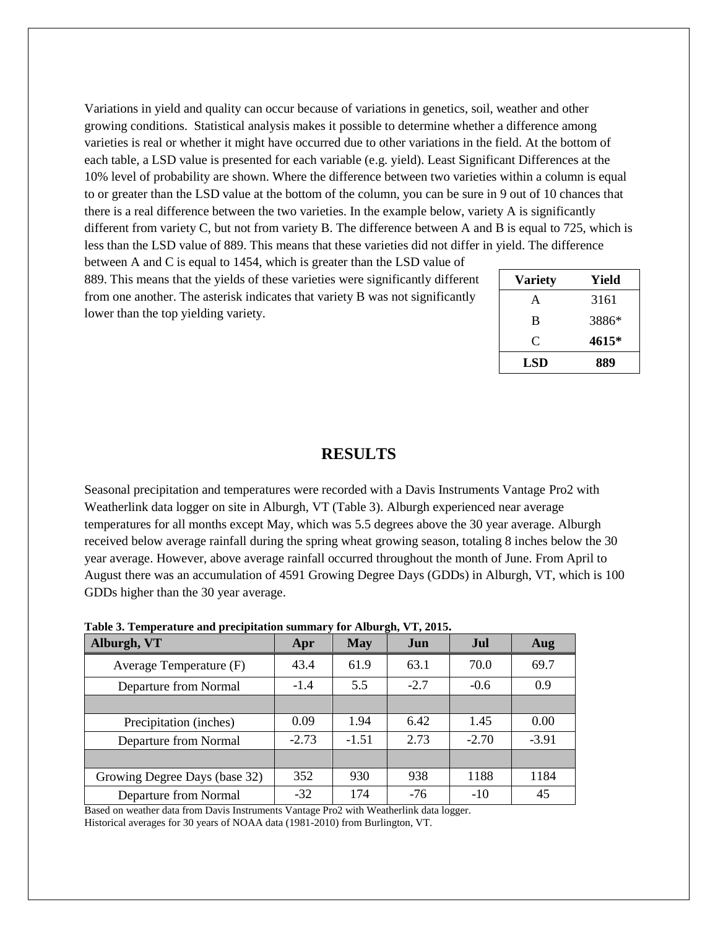Variations in yield and quality can occur because of variations in genetics, soil, weather and other growing conditions. Statistical analysis makes it possible to determine whether a difference among varieties is real or whether it might have occurred due to other variations in the field. At the bottom of each table, a LSD value is presented for each variable (e.g. yield). Least Significant Differences at the 10% level of probability are shown. Where the difference between two varieties within a column is equal to or greater than the LSD value at the bottom of the column, you can be sure in 9 out of 10 chances that there is a real difference between the two varieties. In the example below, variety A is significantly different from variety C, but not from variety B. The difference between A and B is equal to 725, which is less than the LSD value of 889. This means that these varieties did not differ in yield. The difference

between A and C is equal to 1454, which is greater than the LSD value of 889. This means that the yields of these varieties were significantly different from one another. The asterisk indicates that variety B was not significantly lower than the top yielding variety.

| <b>Variety</b> | Yield |
|----------------|-------|
| A              | 3161  |
| B              | 3886* |
| C              | 4615* |
| <b>LSD</b>     | 889   |

### **RESULTS**

Seasonal precipitation and temperatures were recorded with a Davis Instruments Vantage Pro2 with Weatherlink data logger on site in Alburgh, VT (Table 3). Alburgh experienced near average temperatures for all months except May, which was 5.5 degrees above the 30 year average. Alburgh received below average rainfall during the spring wheat growing season, totaling 8 inches below the 30 year average. However, above average rainfall occurred throughout the month of June. From April to August there was an accumulation of 4591 Growing Degree Days (GDDs) in Alburgh, VT, which is 100 GDDs higher than the 30 year average.

| Table 3. Temperature and precipitation summary for Alburgh, VT, 2015. |  |  |
|-----------------------------------------------------------------------|--|--|
|                                                                       |  |  |

| Alburgh, VT                   | Apr     | <b>May</b> | Jun    | <b>Jul</b> | Aug     |
|-------------------------------|---------|------------|--------|------------|---------|
| Average Temperature (F)       | 43.4    | 61.9       | 63.1   | 70.0       | 69.7    |
| Departure from Normal         | $-1.4$  | 5.5        | $-2.7$ | $-0.6$     | 0.9     |
|                               |         |            |        |            |         |
| Precipitation (inches)        | 0.09    | 1.94       | 6.42   | 1.45       | 0.00    |
| Departure from Normal         | $-2.73$ | $-1.51$    | 2.73   | $-2.70$    | $-3.91$ |
|                               |         |            |        |            |         |
| Growing Degree Days (base 32) | 352     | 930        | 938    | 1188       | 1184    |
| Departure from Normal         | $-32$   | 174        | $-76$  | $-10$      | 45      |

Based on weather data from Davis Instruments Vantage Pro2 with Weatherlink data logger. Historical averages for 30 years of NOAA data (1981-2010) from Burlington, VT.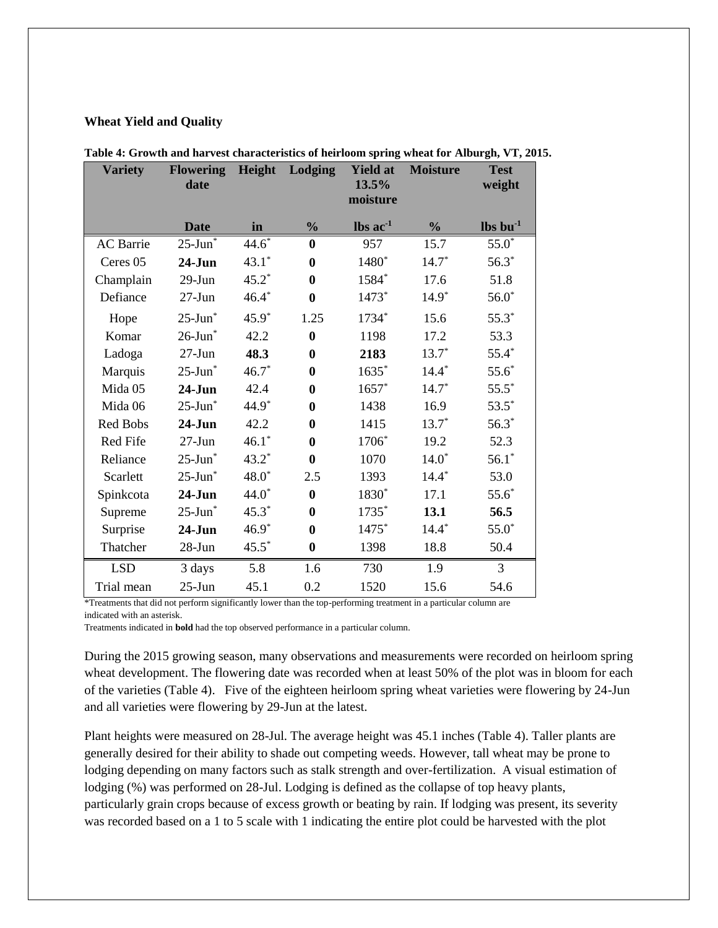#### **Wheat Yield and Quality**

| <b>Variety</b>   | <b>Flowering</b><br>date | Height  | Lodging       | <b>Yield at</b><br>13.5%      | <b>Moisture</b> | <b>Test</b><br>weight            |
|------------------|--------------------------|---------|---------------|-------------------------------|-----------------|----------------------------------|
|                  |                          |         |               | moisture                      |                 |                                  |
|                  | <b>Date</b>              | in      | $\frac{0}{0}$ | $\text{lbs}$ ac <sup>-1</sup> | $\frac{0}{0}$   | $\mathbf{lbs}\,\mathbf{bu}^{-1}$ |
| <b>AC</b> Barrie | $25$ -Jun $\overline{ }$ | $44.6*$ | $\bf{0}$      | 957                           | 15.7            | $55.0*$                          |
| Ceres 05         | $24-J$ un                | $43.1*$ | $\bf{0}$      | 1480*                         | $14.7*$         | $56.3*$                          |
| Champlain        | $29-J$ un                | $45.2*$ | $\bf{0}$      | 1584*                         | 17.6            | 51.8                             |
| Defiance         | $27 - Jun$               | $46.4*$ | $\bf{0}$      | 1473*                         | $14.9*$         | $56.0*$                          |
| Hope             | $25$ -Jun $*$            | $45.9*$ | 1.25          | $1734*$                       | 15.6            | $55.3*$                          |
| Komar            | $26$ -Jun $*$            | 42.2    | $\bf{0}$      | 1198                          | 17.2            | 53.3                             |
| Ladoga           | $27 - Jun$               | 48.3    | $\bf{0}$      | 2183                          | $13.7*$         | $55.4*$                          |
| Marquis          | $25$ -Jun $*$            | $46.7*$ | $\bf{0}$      | $1635*$                       | $14.4*$         | $55.6*$                          |
| Mida 05          | $24-J$ un                | 42.4    | $\bf{0}$      | $1657*$                       | $14.7*$         | $55.5*$                          |
| Mida 06          | $25$ -Jun $*$            | $44.9*$ | $\bf{0}$      | 1438                          | 16.9            | $53.5*$                          |
| Red Bobs         | $24-J$ un                | 42.2    | $\bf{0}$      | 1415                          | $13.7*$         | $56.3*$                          |
| Red Fife         | $27 - Jun$               | $46.1*$ | $\bf{0}$      | 1706*                         | 19.2            | 52.3                             |
| Reliance         | $25$ -Jun $*$            | $43.2*$ | $\bf{0}$      | 1070                          | $14.0*$         | $56.1*$                          |
| Scarlett         | $25$ -Jun $*$            | $48.0*$ | 2.5           | 1393                          | $14.4*$         | 53.0                             |
| Spinkcota        | $24-J$ un                | $44.0*$ | $\bf{0}$      | 1830*                         | 17.1            | $55.6*$                          |
| Supreme          | $25$ -Jun $*$            | $45.3*$ | $\bf{0}$      | 1735*                         | 13.1            | 56.5                             |
| Surprise         | $24-J$ un                | $46.9*$ | $\bf{0}$      | 1475*                         | $14.4*$         | $55.0*$                          |
| Thatcher         | $28 - Jun$               | $45.5*$ | $\bf{0}$      | 1398                          | 18.8            | 50.4                             |
| <b>LSD</b>       | 3 days                   | 5.8     | 1.6           | 730                           | 1.9             | 3                                |
| Trial mean       | $25 - Jun$               | 45.1    | 0.2           | 1520                          | 15.6            | 54.6                             |

|  | Table 4: Growth and harvest characteristics of heirloom spring wheat for Alburgh, VT, 2015. |  |  |  |
|--|---------------------------------------------------------------------------------------------|--|--|--|
|  |                                                                                             |  |  |  |

\*Treatments that did not perform significantly lower than the top-performing treatment in a particular column are indicated with an asterisk.

Treatments indicated in **bold** had the top observed performance in a particular column.

During the 2015 growing season, many observations and measurements were recorded on heirloom spring wheat development. The flowering date was recorded when at least 50% of the plot was in bloom for each of the varieties (Table 4). Five of the eighteen heirloom spring wheat varieties were flowering by 24-Jun and all varieties were flowering by 29-Jun at the latest.

Plant heights were measured on 28-Jul. The average height was 45.1 inches (Table 4). Taller plants are generally desired for their ability to shade out competing weeds. However, tall wheat may be prone to lodging depending on many factors such as stalk strength and over-fertilization. A visual estimation of lodging (%) was performed on 28-Jul. Lodging is defined as the collapse of top heavy plants, particularly grain crops because of excess growth or beating by rain. If lodging was present, its severity was recorded based on a 1 to 5 scale with 1 indicating the entire plot could be harvested with the plot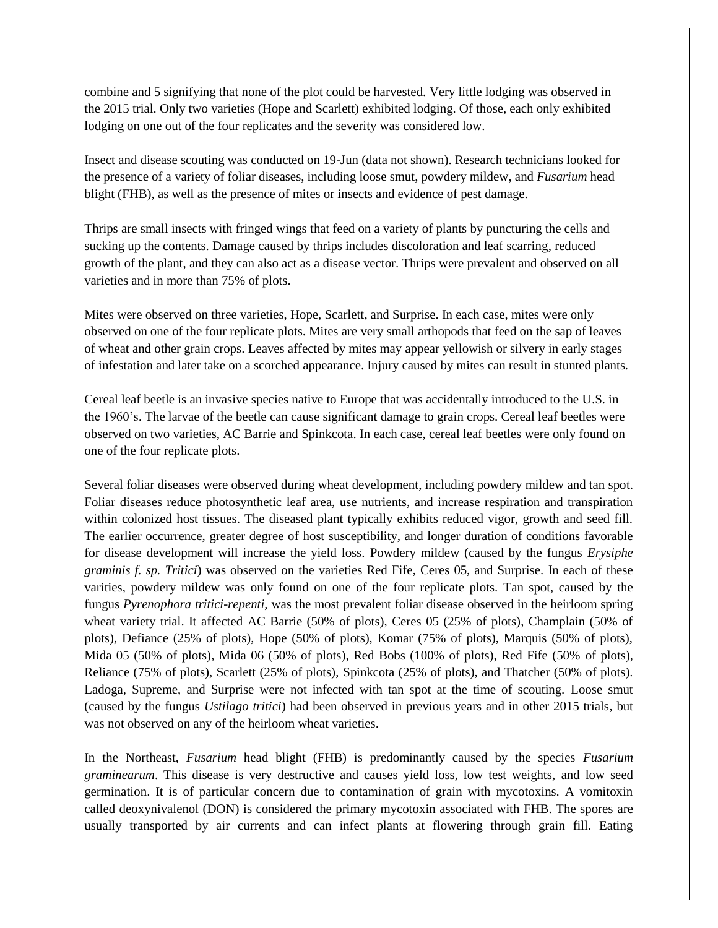combine and 5 signifying that none of the plot could be harvested. Very little lodging was observed in the 2015 trial. Only two varieties (Hope and Scarlett) exhibited lodging. Of those, each only exhibited lodging on one out of the four replicates and the severity was considered low.

Insect and disease scouting was conducted on 19-Jun (data not shown). Research technicians looked for the presence of a variety of foliar diseases, including loose smut, powdery mildew, and *Fusarium* head blight (FHB), as well as the presence of mites or insects and evidence of pest damage.

Thrips are small insects with fringed wings that feed on a variety of plants by puncturing the cells and sucking up the contents. Damage caused by thrips includes discoloration and leaf scarring, reduced growth of the plant, and they can also act as a disease vector. Thrips were prevalent and observed on all varieties and in more than 75% of plots.

Mites were observed on three varieties, Hope, Scarlett, and Surprise. In each case, mites were only observed on one of the four replicate plots. Mites are very small arthopods that feed on the sap of leaves of wheat and other grain crops. Leaves affected by mites may appear yellowish or silvery in early stages of infestation and later take on a scorched appearance. Injury caused by mites can result in stunted plants.

Cereal leaf beetle is an invasive species native to Europe that was accidentally introduced to the U.S. in the 1960's. The larvae of the beetle can cause significant damage to grain crops. Cereal leaf beetles were observed on two varieties, AC Barrie and Spinkcota. In each case, cereal leaf beetles were only found on one of the four replicate plots.

Several foliar diseases were observed during wheat development, including powdery mildew and tan spot. Foliar diseases reduce photosynthetic leaf area, use nutrients, and increase respiration and transpiration within colonized host tissues. The diseased plant typically exhibits reduced vigor, growth and seed fill. The earlier occurrence, greater degree of host susceptibility, and longer duration of conditions favorable for disease development will increase the yield loss. Powdery mildew (caused by the fungus *Erysiphe graminis f. sp. Tritici*) was observed on the varieties Red Fife, Ceres 05, and Surprise. In each of these varities, powdery mildew was only found on one of the four replicate plots. Tan spot, caused by the fungus *Pyrenophora tritici-repenti,* was the most prevalent foliar disease observed in the heirloom spring wheat variety trial. It affected AC Barrie (50% of plots), Ceres 05 (25% of plots), Champlain (50% of plots), Defiance (25% of plots), Hope (50% of plots), Komar (75% of plots), Marquis (50% of plots), Mida 05 (50% of plots), Mida 06 (50% of plots), Red Bobs (100% of plots), Red Fife (50% of plots), Reliance (75% of plots), Scarlett (25% of plots), Spinkcota (25% of plots), and Thatcher (50% of plots). Ladoga, Supreme, and Surprise were not infected with tan spot at the time of scouting. Loose smut (caused by the fungus *Ustilago tritici*) had been observed in previous years and in other 2015 trials, but was not observed on any of the heirloom wheat varieties.

In the Northeast, *Fusarium* head blight (FHB) is predominantly caused by the species *Fusarium graminearum*. This disease is very destructive and causes yield loss, low test weights, and low seed germination. It is of particular concern due to contamination of grain with mycotoxins. A vomitoxin called deoxynivalenol (DON) is considered the primary mycotoxin associated with FHB. The spores are usually transported by air currents and can infect plants at flowering through grain fill. Eating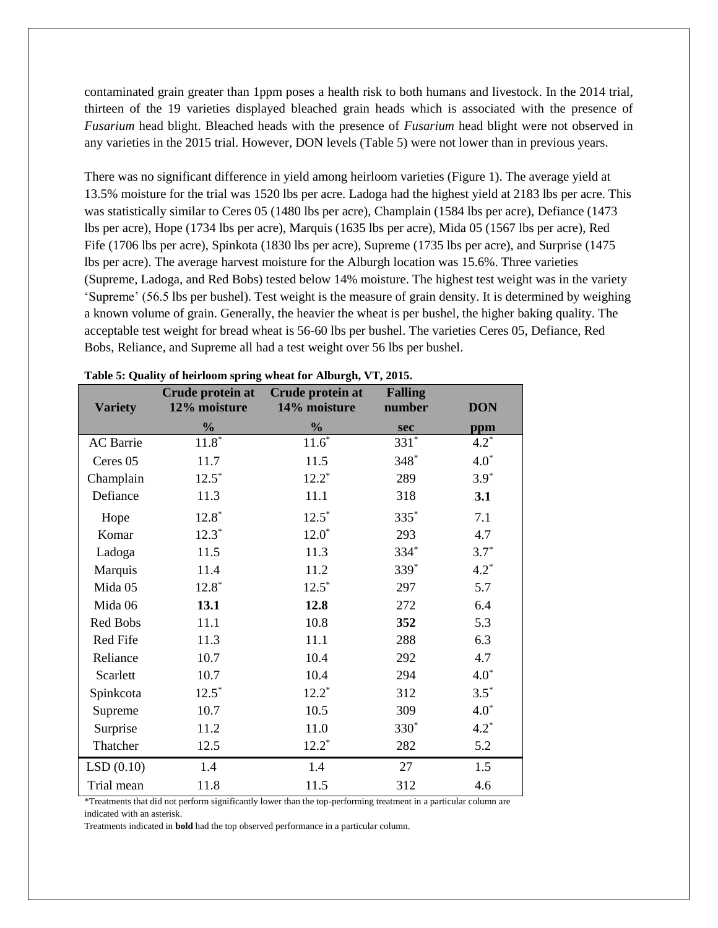contaminated grain greater than 1ppm poses a health risk to both humans and livestock. In the 2014 trial, thirteen of the 19 varieties displayed bleached grain heads which is associated with the presence of *Fusarium* head blight. Bleached heads with the presence of *Fusarium* head blight were not observed in any varieties in the 2015 trial. However, DON levels (Table 5) were not lower than in previous years.

There was no significant difference in yield among heirloom varieties (Figure 1). The average yield at 13.5% moisture for the trial was 1520 lbs per acre. Ladoga had the highest yield at 2183 lbs per acre. This was statistically similar to Ceres 05 (1480 lbs per acre), Champlain (1584 lbs per acre), Defiance (1473 lbs per acre), Hope (1734 lbs per acre), Marquis (1635 lbs per acre), Mida 05 (1567 lbs per acre), Red Fife (1706 lbs per acre), Spinkota (1830 lbs per acre), Supreme (1735 lbs per acre), and Surprise (1475 lbs per acre). The average harvest moisture for the Alburgh location was 15.6%. Three varieties (Supreme, Ladoga, and Red Bobs) tested below 14% moisture. The highest test weight was in the variety 'Supreme' (56.5 lbs per bushel). Test weight is the measure of grain density. It is determined by weighing a known volume of grain. Generally, the heavier the wheat is per bushel, the higher baking quality. The acceptable test weight for bread wheat is 56-60 lbs per bushel. The varieties Ceres 05, Defiance, Red Bobs, Reliance, and Supreme all had a test weight over 56 lbs per bushel.

| <b>Variety</b>   | Crude protein at<br>12% moisture | Crude protein at<br>14% moisture | <b>Falling</b><br>number | <b>DON</b> |
|------------------|----------------------------------|----------------------------------|--------------------------|------------|
|                  | $\frac{0}{0}$                    | $\frac{0}{0}$                    | sec                      | ppm        |
| <b>AC</b> Barrie | $11.\overline{8}^*$              | $11.\overline{6}^*$              | $331*$                   | $4.2^*$    |
| Ceres 05         | 11.7                             | 11.5                             | $348*$                   | $4.0*$     |
| Champlain        | $12.5^*$                         | $12.2^*$                         | 289                      | $3.9*$     |
| Defiance         | 11.3                             | 11.1                             | 318                      | 3.1        |
| Hope             | $12.8*$                          | $12.5*$                          | 335*                     | 7.1        |
| Komar            | $12.3*$                          | $12.0*$                          | 293                      | 4.7        |
| Ladoga           | 11.5                             | 11.3                             | $334*$                   | $3.7*$     |
| Marquis          | 11.4                             | 11.2                             | 339*                     | $4.2*$     |
| Mida 05          | $12.8*$                          | $12.5*$                          | 297                      | 5.7        |
| Mida 06          | 13.1                             | 12.8                             | 272                      | 6.4        |
| Red Bobs         | 11.1                             | 10.8                             | 352                      | 5.3        |
| Red Fife         | 11.3                             | 11.1                             | 288                      | 6.3        |
| Reliance         | 10.7                             | 10.4                             | 292                      | 4.7        |
| Scarlett         | 10.7                             | 10.4                             | 294                      | $4.0*$     |
| Spinkcota        | $12.5*$                          | $12.2*$                          | 312                      | $3.5*$     |
| Supreme          | 10.7                             | 10.5                             | 309                      | $4.0*$     |
| Surprise         | 11.2                             | 11.0                             | $330^*$                  | $4.2^*$    |
| Thatcher         | 12.5                             | $12.2^*$                         | 282                      | 5.2        |
| LSD(0.10)        | 1.4                              | 1.4                              | 27                       | 1.5        |
| Trial mean       | 11.8                             | 11.5                             | 312                      | 4.6        |

| Table 5: Quality of heirloom spring wheat for Alburgh, VT, 2015. |  |  |  |
|------------------------------------------------------------------|--|--|--|
|                                                                  |  |  |  |

\*Treatments that did not perform significantly lower than the top-performing treatment in a particular column are indicated with an asterisk.

Treatments indicated in **bold** had the top observed performance in a particular column.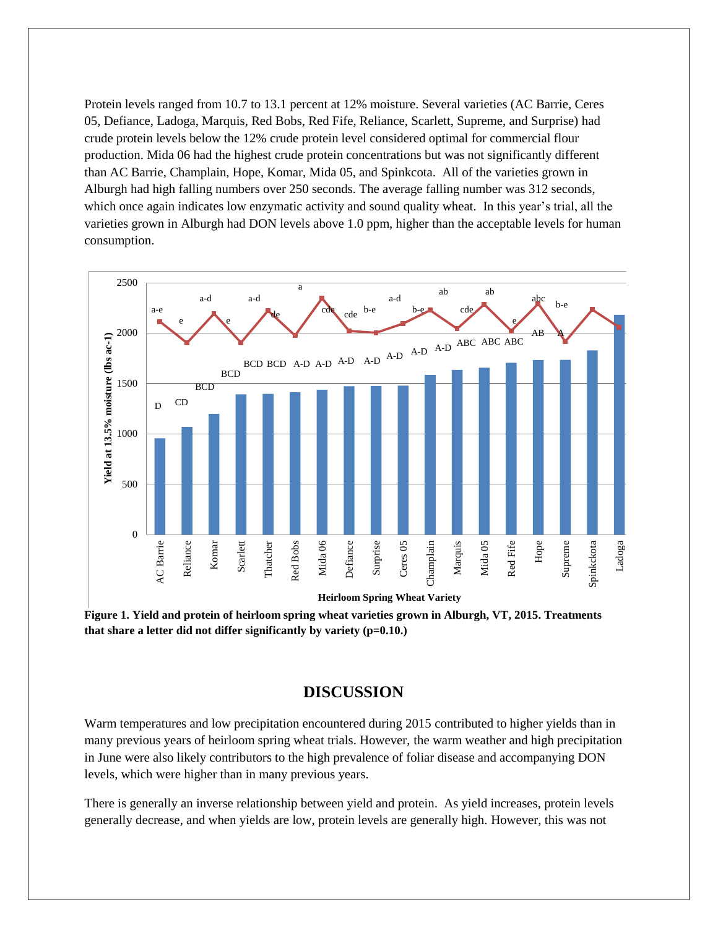Protein levels ranged from 10.7 to 13.1 percent at 12% moisture. Several varieties (AC Barrie, Ceres 05, Defiance, Ladoga, Marquis, Red Bobs, Red Fife, Reliance, Scarlett, Supreme, and Surprise) had crude protein levels below the 12% crude protein level considered optimal for commercial flour production. Mida 06 had the highest crude protein concentrations but was not significantly different than AC Barrie, Champlain, Hope, Komar, Mida 05, and Spinkcota. All of the varieties grown in Alburgh had high falling numbers over 250 seconds. The average falling number was 312 seconds, which once again indicates low enzymatic activity and sound quality wheat. In this year's trial, all the varieties grown in Alburgh had DON levels above 1.0 ppm, higher than the acceptable levels for human consumption.



that share a letter did not differ significantly by variety (p=0.10.) **Figure 1. Yield and protein of heirloom spring wheat varieties grown in Alburgh, VT, 2015. Treatments** 

## **DISCUSSION**

Warm temperatures and low precipitation encountered during 2015 contributed to higher yields than in many previous years of heirloom spring wheat trials. However, the warm weather and high precipitation in June were also likely contributors to the high prevalence of foliar disease and accompanying DON levels, which were higher than in many previous years.

There is generally an inverse relationship between yield and protein. As yield increases, protein levels generally decrease, and when yields are low, protein levels are generally high. However, this was not